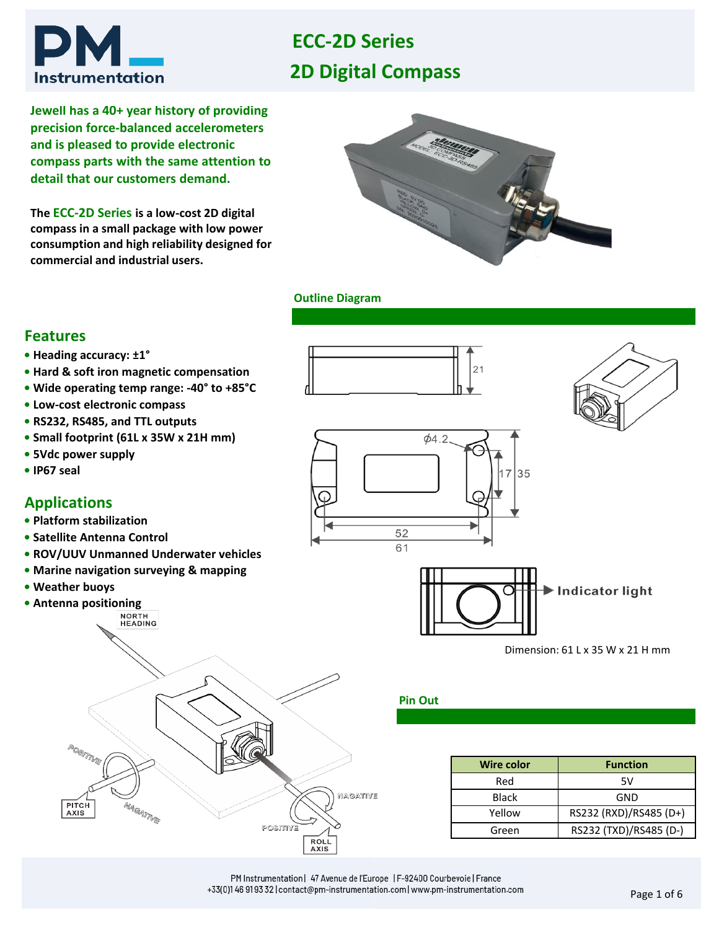# **Instrumentation**

# **2D Digital Compass ECC-2D Series**

**Jewell has a 40+ year history of providing precision force-balanced accelerometers and is pleased to provide electronic compass parts with the same attention to detail that our customers demand.** 

**The ECC-2D Series is a low-cost 2D digital compass in a small package with low power consumption and high reliability designed for commercial and industrial users.** 



#### **Outline Diagram**

#### **Features**

- **Heading accuracy: ±1°**
- **• Hard & soft iron magnetic compensation**
- **• Wide operating temp range: -40° to +85°C**
- **• Low-cost electronic compass**
- **RS232, RS485, and TTL outputs**
- **• Small footprint (61L x 35W x 21H mm)**
- **5Vdc power supply**
- **• IP67 seal**

#### **Applications**

- **• Platform stabilization**
- **• Satellite Antenna Control**
- **• ROV/UUV Unmanned Underwater vehicles**
- **• Marine navigation surveying & mapping**
- **• Weather buoys**
- **• Antenna positioning**<br>**•***MORTH*









35  $\overline{7}$ 

Dimension: 61 L x 35 W x 21 H mm

#### **Pin Out**

52

| <b>Wire color</b> | <b>Function</b>        |  |
|-------------------|------------------------|--|
| Red               | 5V                     |  |
| Black             | GND                    |  |
| Yellow            | RS232 (RXD)/RS485 (D+) |  |
| Green             | RS232 (TXD)/RS485 (D-) |  |

PM Instrumentation | 47 Avenue de l'Europe | F-92400 Courbevoie | France +33(0)1 46 91 93 32 | contact@pm-instrumentation.com | www.pm-instrumentation.com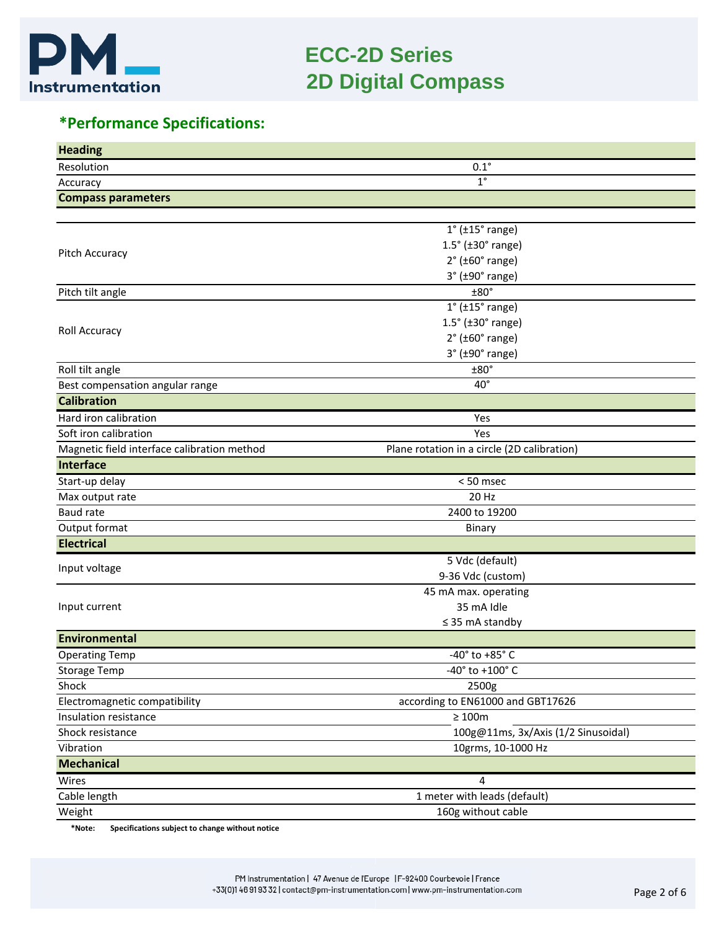

#### *Making Sense out of Motion…* **ECC-2D Series 2D Digital Compass**

## **\*Performance Specifications:**

| <b>Heading</b>                                                     |                                             |  |  |
|--------------------------------------------------------------------|---------------------------------------------|--|--|
| Resolution                                                         | $0.1^\circ$                                 |  |  |
| Accuracy                                                           | $1^{\circ}$                                 |  |  |
| <b>Compass parameters</b>                                          |                                             |  |  |
|                                                                    |                                             |  |  |
|                                                                    | $1^{\circ}$ ( $\pm$ 15 $^{\circ}$ range)    |  |  |
|                                                                    | $1.5^\circ$ ( $\pm 30^\circ$ range)         |  |  |
| Pitch Accuracy                                                     | $2°$ ( $±60°$ range)                        |  |  |
|                                                                    | $3°$ ( $±90°$ range)                        |  |  |
| Pitch tilt angle                                                   | ±80°                                        |  |  |
|                                                                    | $1^{\circ}$ ( $\pm 15^{\circ}$ range)       |  |  |
|                                                                    | $1.5^\circ$ ( $\pm 30^\circ$ range)         |  |  |
| Roll Accuracy                                                      | $2^{\circ}$ (±60 $^{\circ}$ range)          |  |  |
|                                                                    | $3°$ ( $±90°$ range)                        |  |  |
| Roll tilt angle                                                    | $±80^{\circ}$                               |  |  |
| Best compensation angular range                                    | $40^{\circ}$                                |  |  |
| <b>Calibration</b>                                                 |                                             |  |  |
| Hard iron calibration                                              | Yes                                         |  |  |
| Soft iron calibration                                              | Yes                                         |  |  |
| Magnetic field interface calibration method                        | Plane rotation in a circle (2D calibration) |  |  |
| Interface                                                          |                                             |  |  |
| Start-up delay                                                     | <50 msec                                    |  |  |
| Max output rate                                                    | 20 Hz                                       |  |  |
| <b>Baud rate</b>                                                   | 2400 to 19200                               |  |  |
| Output format                                                      | Binary                                      |  |  |
| <b>Electrical</b>                                                  |                                             |  |  |
| Input voltage                                                      | 5 Vdc (default)                             |  |  |
|                                                                    | 9-36 Vdc (custom)                           |  |  |
|                                                                    | 45 mA max. operating                        |  |  |
| Input current                                                      | 35 mA Idle                                  |  |  |
|                                                                    | $\leq$ 35 mA standby                        |  |  |
| Environmental                                                      |                                             |  |  |
| <b>Operating Temp</b>                                              | -40° to +85° C                              |  |  |
| <b>Storage Temp</b>                                                | -40° to +100° C                             |  |  |
| Shock                                                              | 2500g                                       |  |  |
| Electromagnetic compatibility<br>according to EN61000 and GBT17626 |                                             |  |  |
| $\geq 100\text{m}$<br>Insulation resistance                        |                                             |  |  |
| Shock resistance                                                   | 100g@11ms, 3x/Axis (1/2 Sinusoidal)         |  |  |
| Vibration                                                          | 10grms, 10-1000 Hz                          |  |  |
| <b>Mechanical</b>                                                  |                                             |  |  |
| Wires                                                              | 4                                           |  |  |
| Cable length                                                       | 1 meter with leads (default)                |  |  |
| Weight                                                             | 160g without cable                          |  |  |

**\*Note: Specifications subject to change without notice**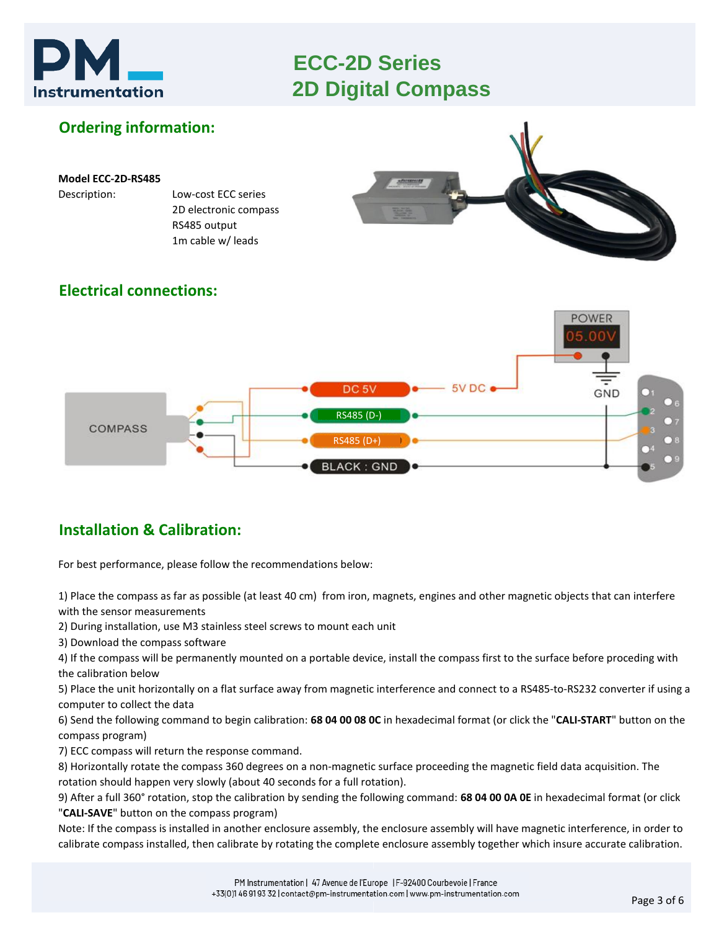



## **Installation & Calibration:**

For best performance, please follow the recommendations below:

1) Place the compass as far as possible (at least 40 cm) from iron, magnets, engines and other magnetic objects that can interfere with the sensor measurements

**BLACK: GND** 

2) During installation, use M3 stainless steel screws to mount each unit

3) Download the compass software

4) If the compass will be permanently mounted on a portable device, install the compass first to the surface before proceding with the calibration below

5) Place the unit horizontally on a flat surface away from magnetic interference and connect to a RS485-to-RS232 converter if using a computer to collect the data

6) Send the following command to begin calibration: **68 04 00 08 0C** in hexadecimal format (or click the "**CALI-START**" button on the compass program)

7) ECC compass will return the response command.

8) Horizontally rotate the compass 360 degrees on a non-magnetic surface proceeding the magnetic field data acquisition. The rotation should happen very slowly (about 40 seconds for a full rotation).

9) After a full 360° rotation, stop the calibration by sending the following command: **68 04 00 0A 0E** in hexadecimal format (or click "**CALI-SAVE**" button on the compass program)

Note: If the compass is installed in another enclosure assembly, the enclosure assembly will have magnetic interference, in order to calibrate compass installed, then calibrate by rotating the complete enclosure assembly together which insure accurate calibration.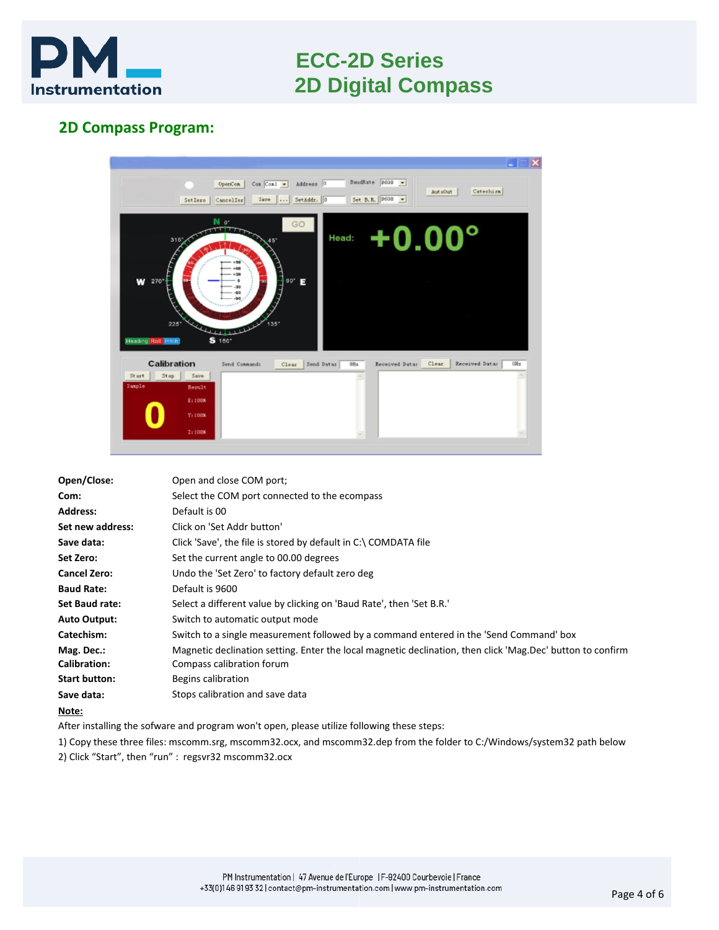

### **2D Compass Program:**



| Open/Close:          | Open and close COM port;                                                                                   |
|----------------------|------------------------------------------------------------------------------------------------------------|
| Com:                 | Select the COM port connected to the ecompass                                                              |
| <b>Address:</b>      | Default is 00                                                                                              |
| Set new address:     | Click on 'Set Addr button'                                                                                 |
| Save data:           | Click 'Save', the file is stored by default in C:\ COMDATA file                                            |
| Set Zero:            | Set the current angle to 00.00 degrees                                                                     |
| <b>Cancel Zero:</b>  | Undo the 'Set Zero' to factory default zero deg                                                            |
| <b>Baud Rate:</b>    | Default is 9600                                                                                            |
| Set Baud rate:       | Select a different value by clicking on 'Baud Rate', then 'Set B.R.'                                       |
| <b>Auto Output:</b>  | Switch to automatic output mode                                                                            |
| Catechism:           | Switch to a single measurement followed by a command entered in the 'Send Command' box                     |
| Mag. Dec.:           | Magnetic declination setting. Enter the local magnetic declination, then click 'Mag.Dec' button to confirm |
| <b>Calibration:</b>  | Compass calibration forum                                                                                  |
| <b>Start button:</b> | Begins calibration                                                                                         |
| Save data:           | Stops calibration and save data                                                                            |
| Note:                |                                                                                                            |

After installing the sofware and program won't open, please utilize following these steps:

1) Copy these three files: mscomm.srg, mscomm32.ocx, and mscomm32.dep from the folder to C:/Windows/system32 path below 2) Click "Start", then "run" : regsvr32 mscomm32.ocx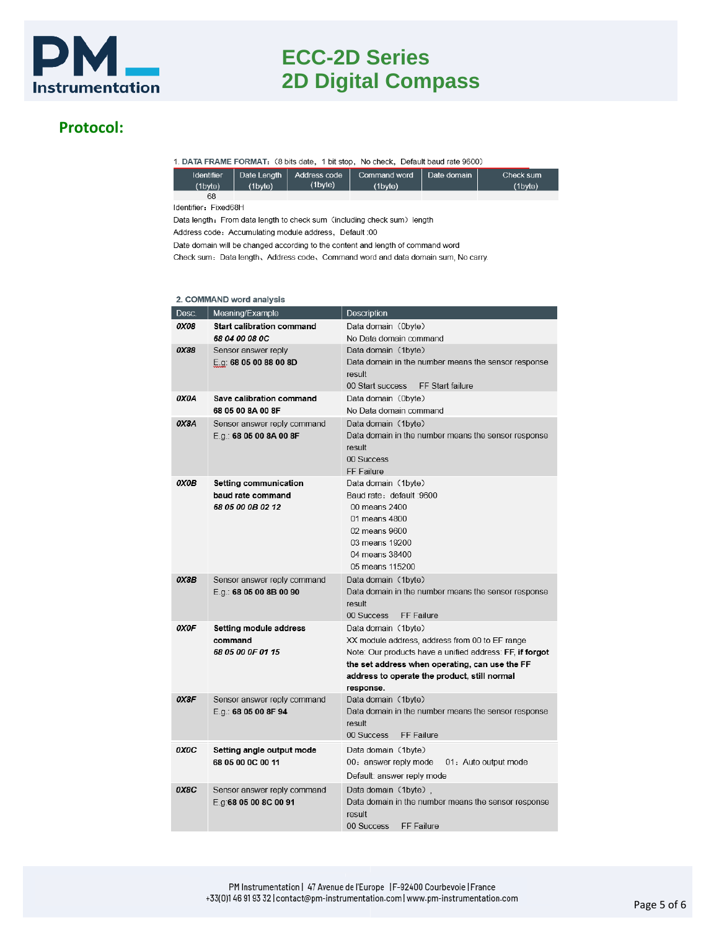

#### **Protocol:**

1. DATA FRAME FORMAT: (8 bits date, 1 bit stop, No check, Default baud rate 9600)

| <b>Identifier</b><br>(1byte) | (1byte) | Date Length   Address code  <br>(1byte) | Command word<br>(1byte) | Date domain | Check sum<br>(1byte) |
|------------------------------|---------|-----------------------------------------|-------------------------|-------------|----------------------|
| 68                           |         |                                         |                         |             |                      |

Identifier: Fixed68H

Data length: From data length to check sum (including check sum) length

Address code: Accumulating module address, Default :00

Date domain will be changed according to the content and length of command word

Check sum: Data length, Address code, Command word and data domain sum, No carry.

#### 2. COMMAND word analysis

| Desc. | Meaning/Example                  | Description                                                                |
|-------|----------------------------------|----------------------------------------------------------------------------|
| 0X08  | <b>Start calibration command</b> | Data domain (0byte)                                                        |
|       | 68 04 00 08 0C                   | No Data domain command                                                     |
| 0X88  | Sensor answer reply              | Data domain (1byte)                                                        |
|       | E.g: 68 05 00 88 00 8D           | Data domain in the number means the sensor response                        |
|       |                                  | result                                                                     |
|       |                                  | 00 Start success<br>FF Start failure                                       |
| 0X0A  | Save calibration command         | Data domain (0byte)                                                        |
|       | 68 05 00 8A 00 8F                | No Data domain command                                                     |
| 0X8A  | Sensor answer reply command      | Data domain (1byte)<br>Data domain in the number means the sensor response |
|       | E.g.: 68 05 00 8A 00 8F          | result                                                                     |
|       |                                  | 00 Success                                                                 |
|       |                                  | FF Failure                                                                 |
| 0X0B  | <b>Setting communication</b>     | Data domain (1byte)                                                        |
|       | baud rate command                | Baud rate: default :9600                                                   |
|       | 68 05 00 0B 02 12                | 00 means 2400                                                              |
|       |                                  | 01 means 4800                                                              |
|       |                                  | 02 means 9600                                                              |
|       |                                  | 03 means 19200                                                             |
|       |                                  | 04 means 38400                                                             |
|       |                                  | 05 means 115200                                                            |
| 0X8B  | Sensor answer reply command      | Data domain (1byte)                                                        |
|       | E.g.: 68 05 00 8B 00 90          | Data domain in the number means the sensor response                        |
|       |                                  | result<br>00 Success<br>FF Failure                                         |
| 0X0F  | Setting module address           | Data domain (1byte)                                                        |
|       | command                          | XX module address, address from 00 to EF range                             |
|       | 68 05 00 0F 01 15                | Note: Our products have a unified address: FF, if forgot                   |
|       |                                  | the set address when operating, can use the FF                             |
|       |                                  | address to operate the product, still normal                               |
|       |                                  | response.                                                                  |
| 0X8F  | Sensor answer reply command      | Data domain (1byte)                                                        |
|       | E.g.: 68 05 00 8F 94             | Data domain in the number means the sensor response                        |
|       |                                  | result                                                                     |
|       |                                  | 00 Success<br>FF Failure                                                   |
| 0X0C  | Setting angle output mode        | Data domain (1byte)                                                        |
|       | 68 05 00 0C 00 11                | 00: answer reply mode<br>01: Auto output mode                              |
|       |                                  | Default: answer reply mode                                                 |
| 0X8C  | Sensor answer reply command      | Data domain (1byte),                                                       |
|       | E.g.68 05 00 8C 00 91            | Data domain in the number means the sensor response                        |
|       |                                  | result                                                                     |
|       |                                  | 00 Success<br>FF Failure                                                   |